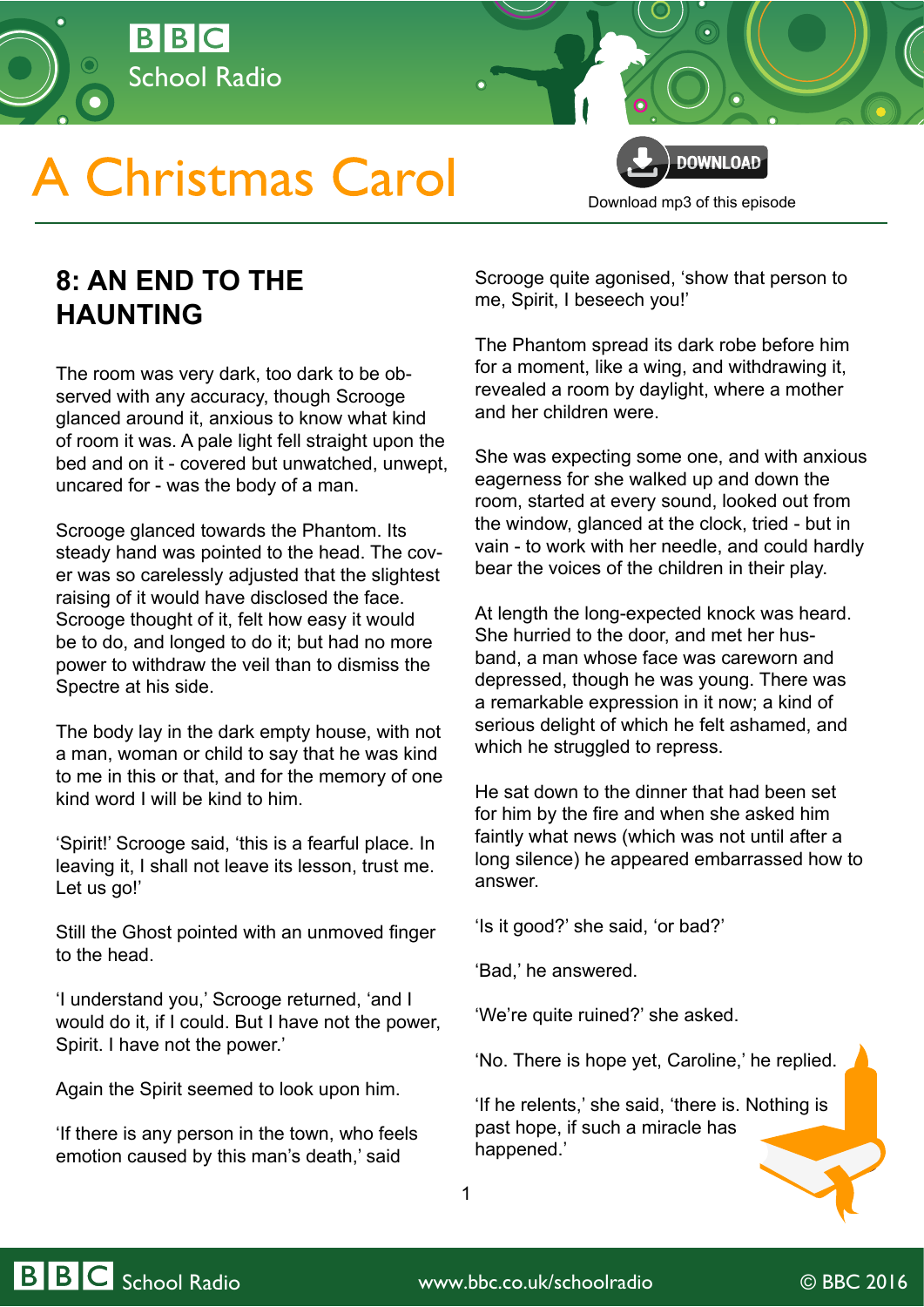

## **A Christmas Carol**

**DOWNLOAD** [Download mp3 of this episode](http://open.live.bbc.co.uk/mediaselector/5/redir/version/2.0/mediaset/audio-nondrm-download/proto/http/vpid/p02qfjn2.mp3)

## **8: AN END TO THE HAUNTING**

The room was very dark, too dark to be observed with any accuracy, though Scrooge glanced around it, anxious to know what kind of room it was. A pale light fell straight upon the bed and on it - covered but unwatched, unwept, uncared for - was the body of a man.

Scrooge glanced towards the Phantom. Its steady hand was pointed to the head. The cover was so carelessly adjusted that the slightest raising of it would have disclosed the face. Scrooge thought of it, felt how easy it would be to do, and longed to do it; but had no more power to withdraw the veil than to dismiss the Spectre at his side.

The body lay in the dark empty house, with not a man, woman or child to say that he was kind to me in this or that, and for the memory of one kind word I will be kind to him.

'Spirit!' Scrooge said, 'this is a fearful place. In leaving it, I shall not leave its lesson, trust me. Let us go!'

Still the Ghost pointed with an unmoved finger to the head.

'I understand you,' Scrooge returned, 'and I would do it, if I could. But I have not the power, Spirit. I have not the power.'

Again the Spirit seemed to look upon him.

'If there is any person in the town, who feels emotion caused by this man's death,' said

Scrooge quite agonised, 'show that person to me, Spirit, I beseech you!'

The Phantom spread its dark robe before him for a moment, like a wing, and withdrawing it, revealed a room by daylight, where a mother and her children were.

She was expecting some one, and with anxious eagerness for she walked up and down the room, started at every sound, looked out from the window, glanced at the clock, tried - but in vain - to work with her needle, and could hardly bear the voices of the children in their play.

At length the long-expected knock was heard. She hurried to the door, and met her husband, a man whose face was careworn and depressed, though he was young. There was a remarkable expression in it now; a kind of serious delight of which he felt ashamed, and which he struggled to repress.

He sat down to the dinner that had been set for him by the fire and when she asked him faintly what news (which was not until after a long silence) he appeared embarrassed how to answer.

'Is it good?' she said, 'or bad?'

'Bad,' he answered.

'We're quite ruined?' she asked.

'No. There is hope yet, Caroline,' he replied.

'If he relents,' she said, 'there is. Nothing is past hope, if such a miracle has happened.'

1

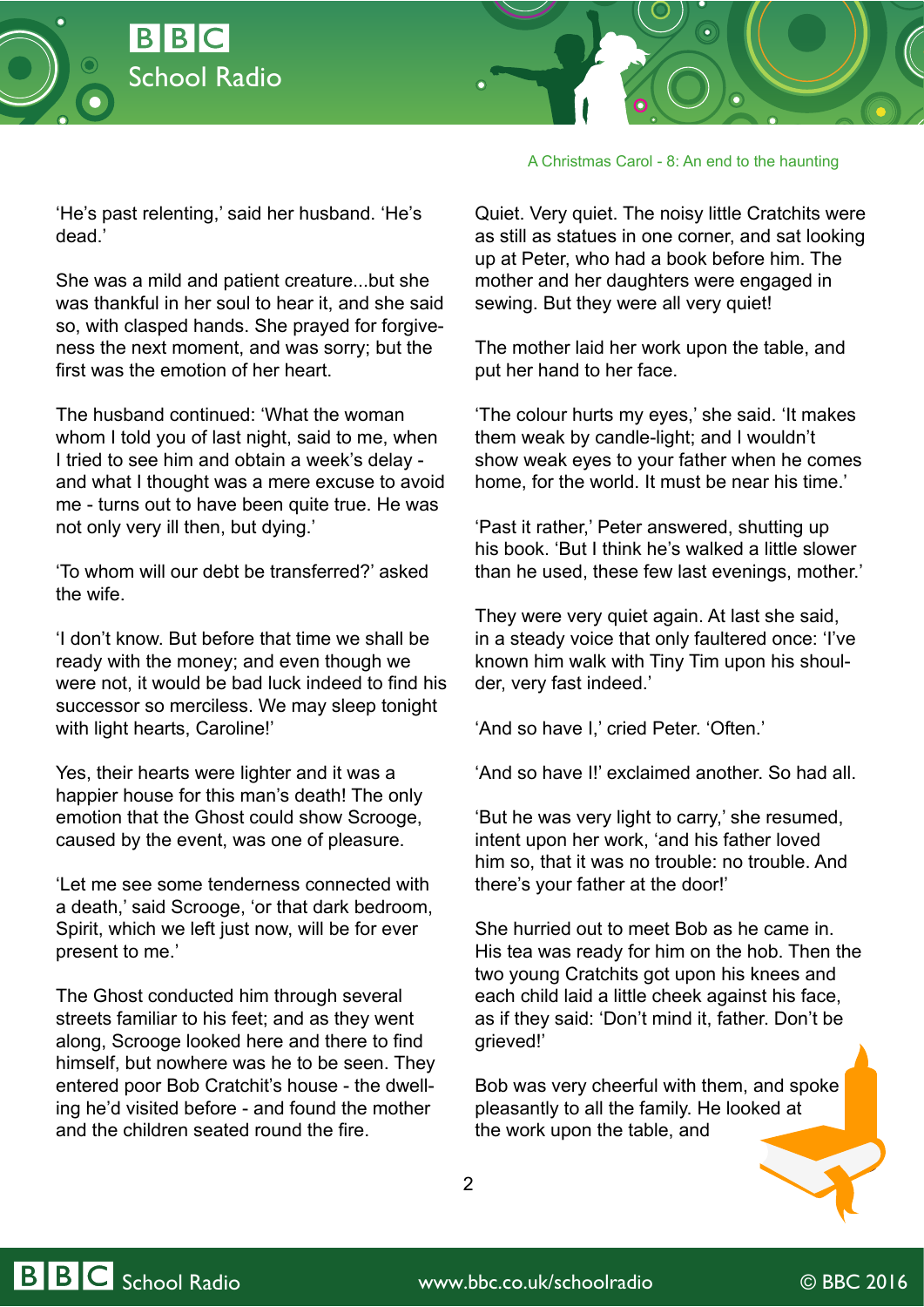



'He's past relenting,' said her husband. 'He's dead.'

She was a mild and patient creature...but she was thankful in her soul to hear it, and she said so, with clasped hands. She prayed for forgiveness the next moment, and was sorry; but the first was the emotion of her heart.

The husband continued: 'What the woman whom I told you of last night, said to me, when I tried to see him and obtain a week's delay and what I thought was a mere excuse to avoid me - turns out to have been quite true. He was not only very ill then, but dying.'

'To whom will our debt be transferred?' asked the wife.

'I don't know. But before that time we shall be ready with the money; and even though we were not, it would be bad luck indeed to find his successor so merciless. We may sleep tonight with light hearts, Caroline!'

Yes, their hearts were lighter and it was a happier house for this man's death! The only emotion that the Ghost could show Scrooge, caused by the event, was one of pleasure.

'Let me see some tenderness connected with a death,' said Scrooge, 'or that dark bedroom, Spirit, which we left just now, will be for ever present to me.'

The Ghost conducted him through several streets familiar to his feet; and as they went along, Scrooge looked here and there to find himself, but nowhere was he to be seen. They entered poor Bob Cratchit's house - the dwelling he'd visited before - and found the mother and the children seated round the fire.

Quiet. Very quiet. The noisy little Cratchits were as still as statues in one corner, and sat looking up at Peter, who had a book before him. The mother and her daughters were engaged in sewing. But they were all very quiet!

A Christmas Carol - 8: An end to the haunting

The mother laid her work upon the table, and put her hand to her face.

'The colour hurts my eyes,' she said. 'It makes them weak by candle-light; and I wouldn't show weak eyes to your father when he comes home, for the world. It must be near his time.'

'Past it rather,' Peter answered, shutting up his book. 'But I think he's walked a little slower than he used, these few last evenings, mother.'

They were very quiet again. At last she said, in a steady voice that only faultered once: 'I've known him walk with Tiny Tim upon his shoulder, very fast indeed.'

'And so have I,' cried Peter. 'Often.'

'And so have I!' exclaimed another. So had all.

'But he was very light to carry,' she resumed, intent upon her work, 'and his father loved him so, that it was no trouble: no trouble. And there's your father at the door!'

She hurried out to meet Bob as he came in. His tea was ready for him on the hob. Then the two young Cratchits got upon his knees and each child laid a little cheek against his face, as if they said: 'Don't mind it, father. Don't be grieved!'

Bob was very cheerful with them, and spoke pleasantly to all the family. He looked at the work upon the table, and

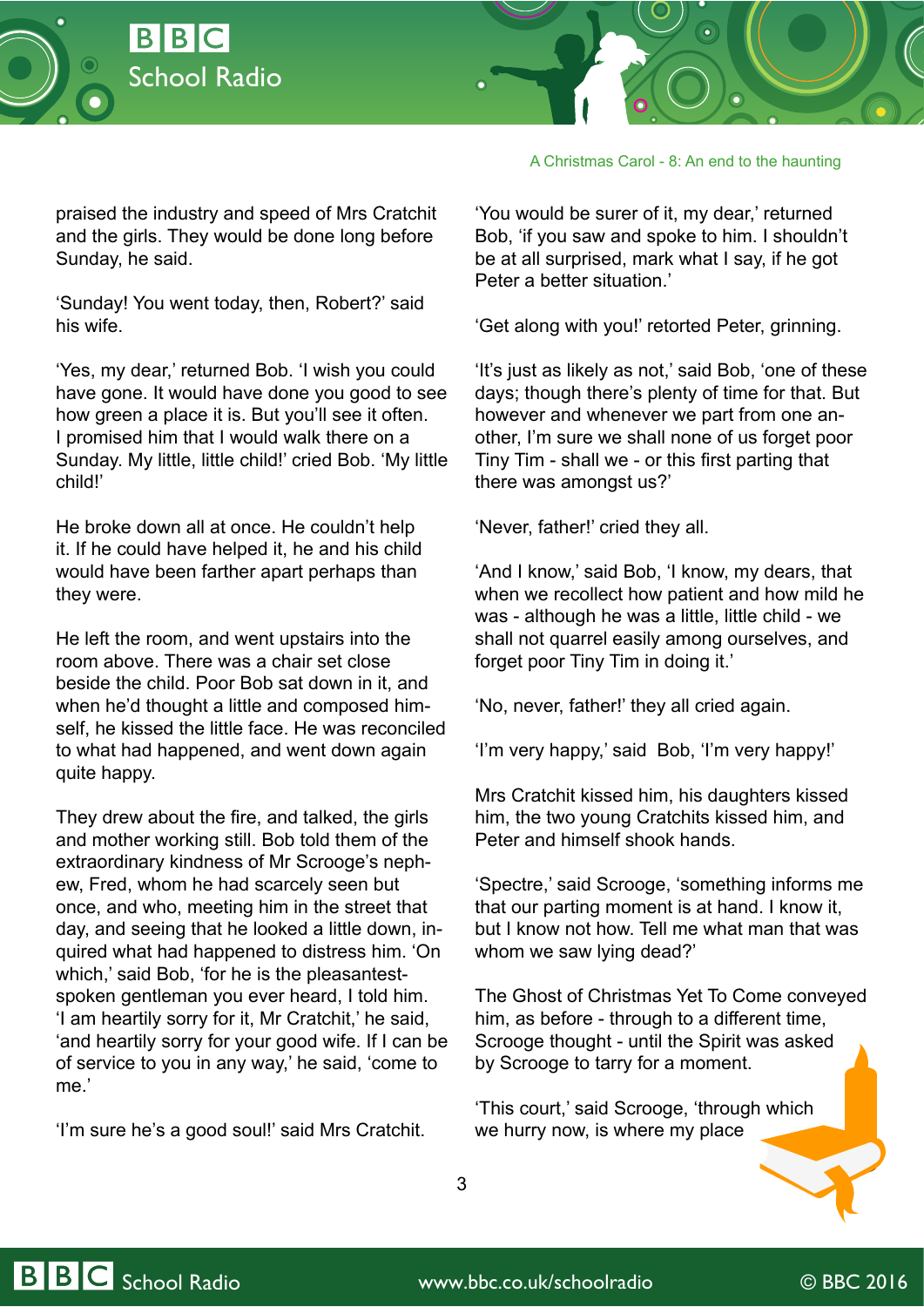



praised the industry and speed of Mrs Cratchit and the girls. They would be done long before Sunday, he said.

'Sunday! You went today, then, Robert?' said his wife.

'Yes, my dear,' returned Bob. 'I wish you could have gone. It would have done you good to see how green a place it is. But you'll see it often. I promised him that I would walk there on a Sunday. My little, little child!' cried Bob. 'My little child!'

He broke down all at once. He couldn't help it. If he could have helped it, he and his child would have been farther apart perhaps than they were.

He left the room, and went upstairs into the room above. There was a chair set close beside the child. Poor Bob sat down in it, and when he'd thought a little and composed himself, he kissed the little face. He was reconciled to what had happened, and went down again quite happy.

They drew about the fire, and talked, the girls and mother working still. Bob told them of the extraordinary kindness of Mr Scrooge's nephew, Fred, whom he had scarcely seen but once, and who, meeting him in the street that day, and seeing that he looked a little down, inquired what had happened to distress him. 'On which,' said Bob, 'for he is the pleasantestspoken gentleman you ever heard, I told him. 'I am heartily sorry for it, Mr Cratchit,' he said, 'and heartily sorry for your good wife. If I can be of service to you in any way,' he said, 'come to me.'

'I'm sure he's a good soul!' said Mrs Cratchit.

A Christmas Carol - 8: An end to the haunting

'You would be surer of it, my dear,' returned Bob, 'if you saw and spoke to him. I shouldn't be at all surprised, mark what I say, if he got Peter a better situation.<sup>'</sup>

'Get along with you!' retorted Peter, grinning.

'It's just as likely as not,' said Bob, 'one of these days; though there's plenty of time for that. But however and whenever we part from one another, I'm sure we shall none of us forget poor Tiny Tim - shall we - or this first parting that there was amongst us?'

'Never, father!' cried they all.

'And I know,' said Bob, 'I know, my dears, that when we recollect how patient and how mild he was - although he was a little, little child - we shall not quarrel easily among ourselves, and forget poor Tiny Tim in doing it.'

'No, never, father!' they all cried again.

'I'm very happy,' said Bob, 'I'm very happy!'

Mrs Cratchit kissed him, his daughters kissed him, the two young Cratchits kissed him, and Peter and himself shook hands.

'Spectre,' said Scrooge, 'something informs me that our parting moment is at hand. I know it, but I know not how. Tell me what man that was whom we saw lying dead?'

The Ghost of Christmas Yet To Come conveyed him, as before - through to a different time, Scrooge thought - until the Spirit was asked by Scrooge to tarry for a moment.

'This court,' said Scrooge, 'through which we hurry now, is where my place

3

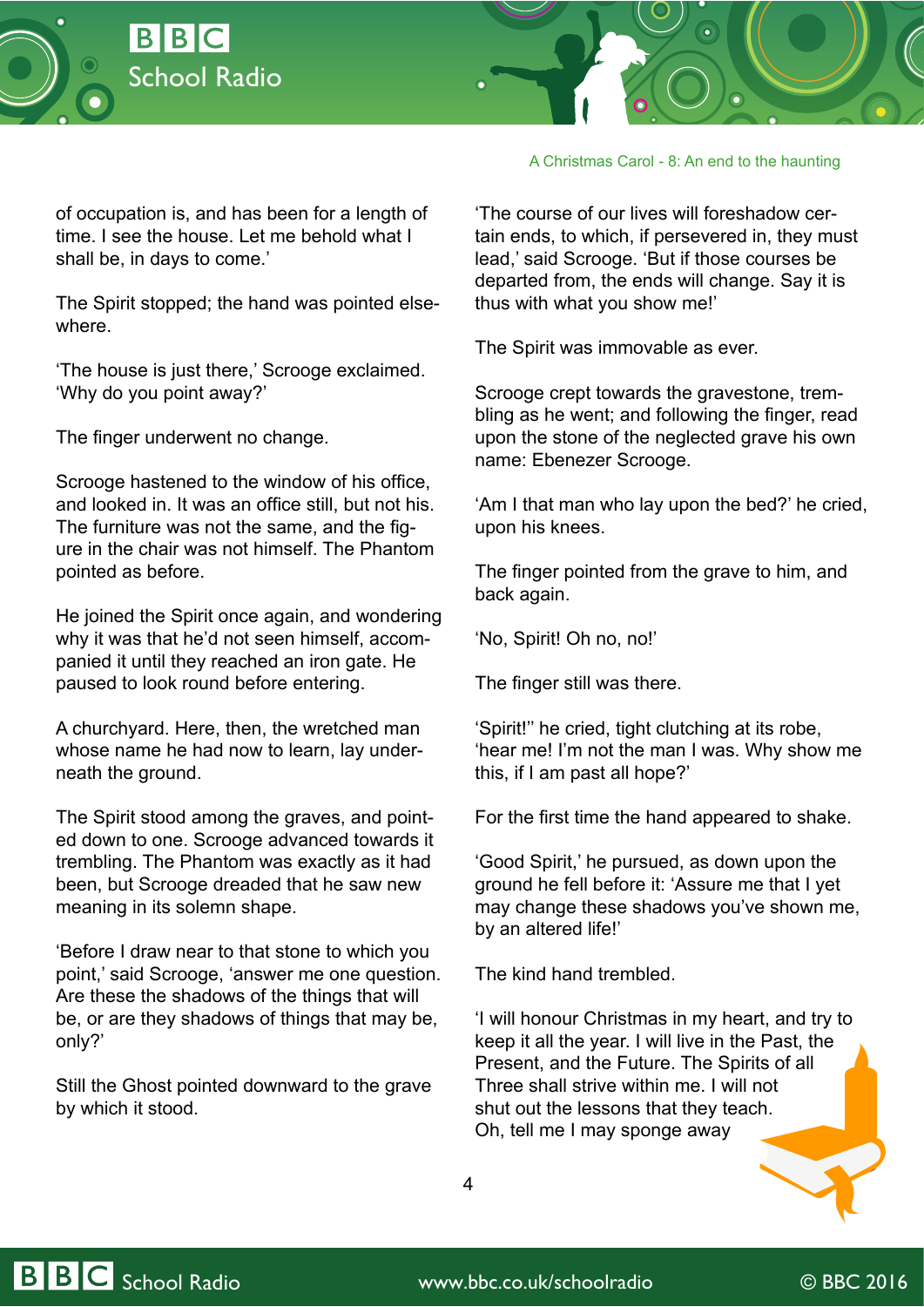



of occupation is, and has been for a length of time. I see the house. Let me behold what I shall be, in days to come.'

The Spirit stopped; the hand was pointed elsewhere.

'The house is just there,' Scrooge exclaimed. 'Why do you point away?'

The finger underwent no change.

Scrooge hastened to the window of his office, and looked in. It was an office still, but not his. The furniture was not the same, and the figure in the chair was not himself. The Phantom pointed as before.

He joined the Spirit once again, and wondering why it was that he'd not seen himself, accompanied it until they reached an iron gate. He paused to look round before entering.

A churchyard. Here, then, the wretched man whose name he had now to learn, lay underneath the ground.

The Spirit stood among the graves, and pointed down to one. Scrooge advanced towards it trembling. The Phantom was exactly as it had been, but Scrooge dreaded that he saw new meaning in its solemn shape.

'Before I draw near to that stone to which you point,' said Scrooge, 'answer me one question. Are these the shadows of the things that will be, or are they shadows of things that may be, only?'

Still the Ghost pointed downward to the grave by which it stood.

A Christmas Carol - 8: An end to the haunting

'The course of our lives will foreshadow certain ends, to which, if persevered in, they must lead,' said Scrooge. 'But if those courses be departed from, the ends will change. Say it is thus with what you show me!'

The Spirit was immovable as ever.

Scrooge crept towards the gravestone, trembling as he went; and following the finger, read upon the stone of the neglected grave his own name: Ebenezer Scrooge.

'Am I that man who lay upon the bed?' he cried, upon his knees.

The finger pointed from the grave to him, and back again.

'No, Spirit! Oh no, no!'

The finger still was there.

'Spirit!'' he cried, tight clutching at its robe, 'hear me! I'm not the man I was. Why show me this, if I am past all hope?'

For the first time the hand appeared to shake.

'Good Spirit,' he pursued, as down upon the ground he fell before it: 'Assure me that I yet may change these shadows you've shown me, by an altered life!'

The kind hand trembled.

'I will honour Christmas in my heart, and try to keep it all the year. I will live in the Past, the Present, and the Future. The Spirits of all Three shall strive within me. I will not shut out the lessons that they teach. Oh, tell me I may sponge away